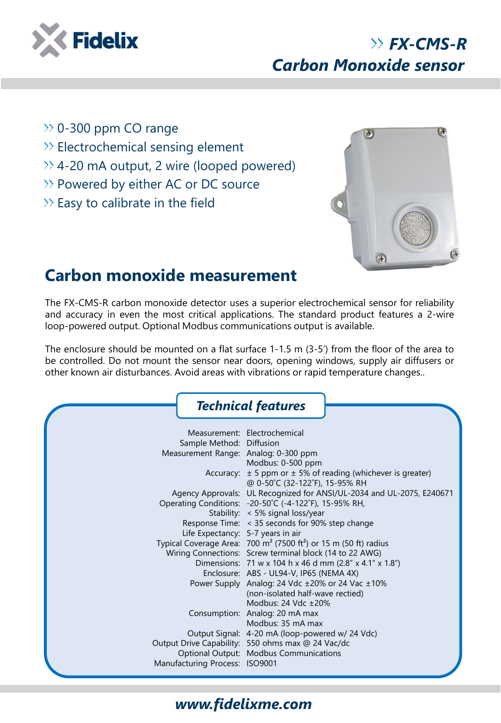

## *FX-CMS-R Carbon Monoxide sensor*

- $\gg$  0-300 ppm CO range
- >> Electrochemical sensing element
- $\gg$  4-20 mA output, 2 wire (looped powered)
- >> Powered by either AC or DC source
- $\gg$  Easy to calibrate in the field



## **Carbon monoxide measurement**

The FX-CMS-R carbon monoxide detector uses a superior electrochemical sensor for reliability and accuracy in even the most critical applications. The standard product features a 2-wire loop-powered output. Optional Modbus communications output is available.

The enclosure should be mounted on a flat surface 1-1.5 m (3-5') from the floor of the area to be controlled. Do not mount the sensor near doors, opening windows, supply air diffusers or other known air disturbances. Avoid areas with vibrations or rapid temperature changes..

|                                      | <b>Technical features</b>                                                               |
|--------------------------------------|-----------------------------------------------------------------------------------------|
|                                      | Measurement: Electrochemical                                                            |
| Sample Method: Diffusion             |                                                                                         |
| Measurement Range: Analog: 0-300 ppm |                                                                                         |
|                                      | Modbus: 0-500 ppm                                                                       |
|                                      | Accuracy: $\pm$ 5 ppm or $\pm$ 5% of reading (whichever is greater)                     |
|                                      | @ 0-50°C (32-122°F), 15-95% RH                                                          |
|                                      | Agency Approvals: UL Recognized for ANSI/UL-2034 and UL-2075, E240671                   |
|                                      | Operating Conditions: -20-50°C (-4-122°F), 15-95% RH,                                   |
|                                      | Stability: < 5% signal loss/year                                                        |
|                                      | Response Time: < 35 seconds for 90% step change                                         |
| Life Expectancy: 5-7 years in air    |                                                                                         |
|                                      | Typical Coverage Area: $700 \text{ m}^2$ (7500 ft <sup>2</sup> ) or 15 m (50 ft) radius |
|                                      | Wiring Connections: Screw terminal block (14 to 22 AWG)                                 |
|                                      | Dimensions: 71 w x 104 h x 46 d mm (2.8" x 4.1" x 1.8")                                 |
|                                      | Enclosure: ABS - UL94-V, IP65 (NEMA 4X)                                                 |
|                                      | Power Supply Analog: 24 Vdc ±20% or 24 Vac ±10%                                         |
|                                      | (non-isolated half-wave rectied)                                                        |
|                                      | Modbus: 24 Vdc ±20%                                                                     |
|                                      | Consumption: Analog: 20 mA max                                                          |
|                                      | Modbus: 35 mA max                                                                       |
|                                      | Output Signal: 4-20 mA (loop-powered w/ 24 Vdc)                                         |
|                                      | Output Drive Capability: 550 ohms max @ 24 Vac/dc                                       |
|                                      | Optional Output: Modbus Communications                                                  |
| Manufacturing Process: ISO9001       |                                                                                         |

## *www.fidelixme.com*